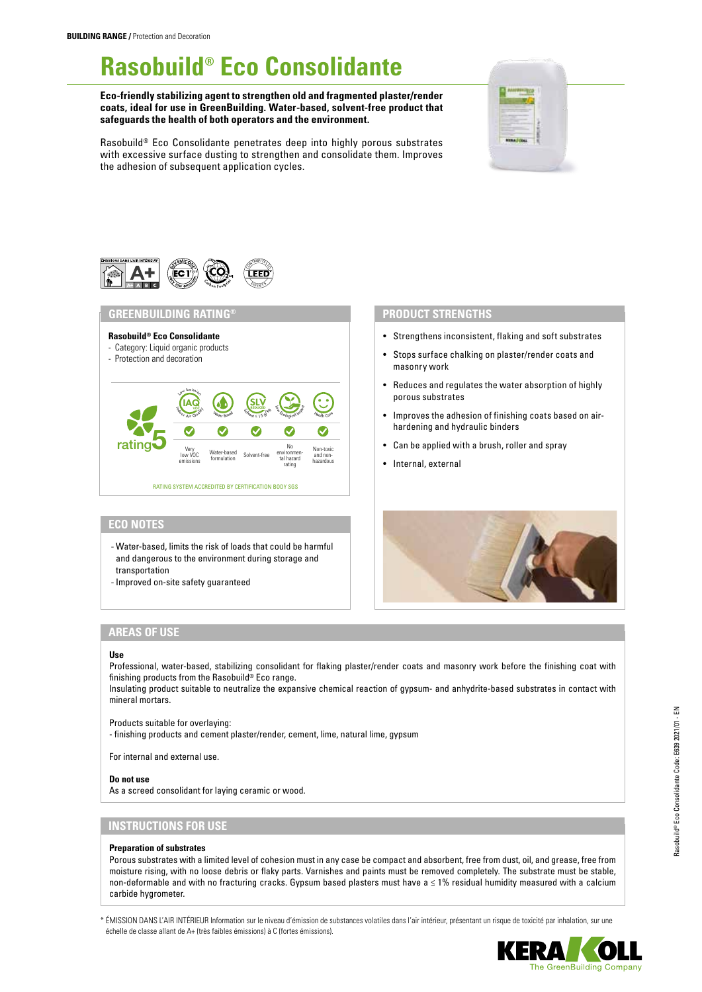# **Rasobuild® Eco Consolidante**

**Eco-friendly stabilizing agent to strengthen old and fragmented plaster/render coats, ideal for use in GreenBuilding. Water-based, solvent-free product that safeguards the health of both operators and the environment.**



Rasobuild® Eco Consolidante penetrates deep into highly porous substrates with excessive surface dusting to strengthen and consolidate them. Improves the adhesion of subsequent application cycles.



### **GREENBUILDING RATING® PRODUCT STRENGTHS**



- 
- Protection and decoration



## **ECO NOTES**

- Water-based, limits the risk of loads that could be harmful and dangerous to the environment during storage and transportation
- Improved on-site safety guaranteed

- Strengthens inconsistent, flaking and soft substrates
- Stops surface chalking on plaster/render coats and masonry work
- Reduces and regulates the water absorption of highly porous substrates
- Improves the adhesion of finishing coats based on airhardening and hydraulic binders
- Can be applied with a brush, roller and spray
- Internal, external



# **AREAS OF USE**

#### **Use**

Professional, water-based, stabilizing consolidant for flaking plaster/render coats and masonry work before the finishing coat with finishing products from the Rasobuild® Eco range.

Insulating product suitable to neutralize the expansive chemical reaction of gypsum- and anhydrite-based substrates in contact with mineral mortars.

Products suitable for overlaying:

- finishing products and cement plaster/render, cement, lime, natural lime, gypsum

For internal and external use.

#### **Do not use**

As a screed consolidant for laying ceramic or wood.

# **INSTRUCTIONS FOR USE**

#### **Preparation of substrates**

Porous substrates with a limited level of cohesion must in any case be compact and absorbent, free from dust, oil, and grease, free from moisture rising, with no loose debris or flaky parts. Varnishes and paints must be removed completely. The substrate must be stable, non-deformable and with no fracturing cracks. Gypsum based plasters must have a ≤ 1% residual humidity measured with a calcium carbide hygrometer.

\* ÉMISSION DANS L'AIR INTÉRIEUR Information sur le niveau d'émission de substances volatiles dans l'air intérieur, présentant un risque de toxicité par inhalation, sur une échelle de classe allant de A+ (très faibles émissions) à C (fortes émissions).